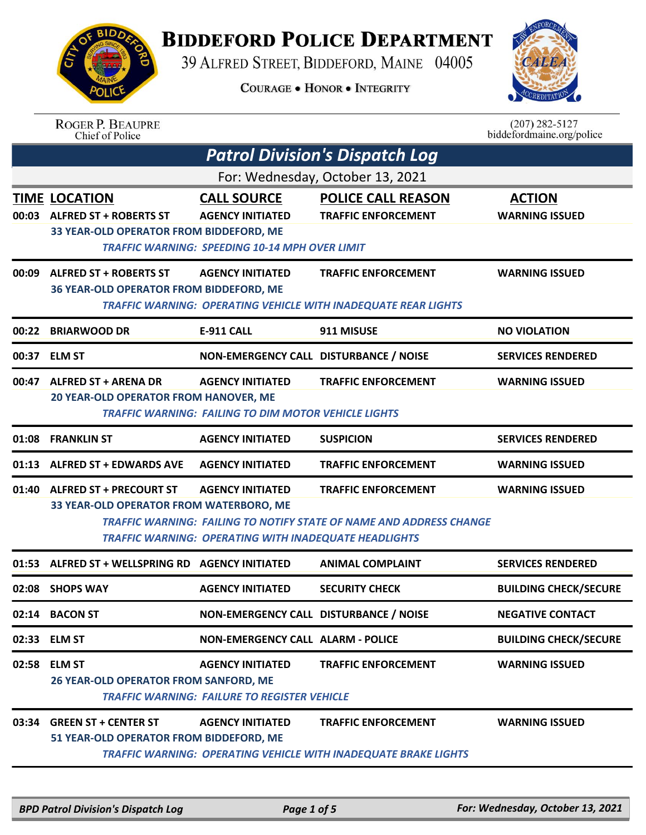## **BIDDEFORD POLICE DEPARTMENT**

39 ALFRED STREET, BIDDEFORD, MAINE 04005

**COURAGE . HONOR . INTEGRITY** 



| <b>BIDDA</b><br>AG |  |
|--------------------|--|
|                    |  |
| م ها               |  |
| POL<br>Œ           |  |

| Chief of Police | <b>ROGER P. BEAUPRE</b> |  |
|-----------------|-------------------------|--|
|                 |                         |  |
|                 |                         |  |

 $(207)$  282-5127 biddefordmaine.org/police

|       | <b>Patrol Division's Dispatch Log</b>                                                            |                                                                                                        |                                                                                                     |                                        |  |  |
|-------|--------------------------------------------------------------------------------------------------|--------------------------------------------------------------------------------------------------------|-----------------------------------------------------------------------------------------------------|----------------------------------------|--|--|
|       | For: Wednesday, October 13, 2021                                                                 |                                                                                                        |                                                                                                     |                                        |  |  |
| 00:03 | <b>TIME LOCATION</b><br><b>ALFRED ST + ROBERTS ST</b><br>33 YEAR-OLD OPERATOR FROM BIDDEFORD, ME | <b>CALL SOURCE</b><br><b>AGENCY INITIATED</b><br><b>TRAFFIC WARNING: SPEEDING 10-14 MPH OVER LIMIT</b> | <b>POLICE CALL REASON</b><br><b>TRAFFIC ENFORCEMENT</b>                                             | <b>ACTION</b><br><b>WARNING ISSUED</b> |  |  |
| 00:09 | <b>ALFRED ST + ROBERTS ST</b><br>36 YEAR-OLD OPERATOR FROM BIDDEFORD, ME                         | <b>AGENCY INITIATED</b>                                                                                | <b>TRAFFIC ENFORCEMENT</b><br><b>TRAFFIC WARNING: OPERATING VEHICLE WITH INADEQUATE REAR LIGHTS</b> | <b>WARNING ISSUED</b>                  |  |  |
|       | 00:22 BRIARWOOD DR                                                                               | E-911 CALL                                                                                             | 911 MISUSE                                                                                          | <b>NO VIOLATION</b>                    |  |  |
|       | 00:37 ELM ST                                                                                     | NON-EMERGENCY CALL DISTURBANCE / NOISE                                                                 |                                                                                                     | <b>SERVICES RENDERED</b>               |  |  |
| 00:47 | <b>ALFRED ST + ARENA DR</b><br>20 YEAR-OLD OPERATOR FROM HANOVER, ME                             | <b>AGENCY INITIATED</b><br><b>TRAFFIC WARNING: FAILING TO DIM MOTOR VEHICLE LIGHTS</b>                 | <b>TRAFFIC ENFORCEMENT</b>                                                                          | <b>WARNING ISSUED</b>                  |  |  |
| 01:08 | <b>FRANKLIN ST</b>                                                                               | <b>AGENCY INITIATED</b>                                                                                | <b>SUSPICION</b>                                                                                    | <b>SERVICES RENDERED</b>               |  |  |
| 01:13 | <b>ALFRED ST + EDWARDS AVE</b>                                                                   | <b>AGENCY INITIATED</b>                                                                                | <b>TRAFFIC ENFORCEMENT</b>                                                                          | <b>WARNING ISSUED</b>                  |  |  |
| 01:40 | <b>ALFRED ST + PRECOURT ST</b><br>33 YEAR-OLD OPERATOR FROM WATERBORO, ME                        | <b>AGENCY INITIATED</b><br><b>TRAFFIC WARNING: OPERATING WITH INADEQUATE HEADLIGHTS</b>                | <b>TRAFFIC ENFORCEMENT</b><br>TRAFFIC WARNING: FAILING TO NOTIFY STATE OF NAME AND ADDRESS CHANGE   | <b>WARNING ISSUED</b>                  |  |  |
| 01:53 | ALFRED ST + WELLSPRING RD AGENCY INITIATED                                                       |                                                                                                        | <b>ANIMAL COMPLAINT</b>                                                                             | <b>SERVICES RENDERED</b>               |  |  |
| 02:08 | <b>SHOPS WAY</b>                                                                                 | <b>AGENCY INITIATED</b>                                                                                | <b>SECURITY CHECK</b>                                                                               | <b>BUILDING CHECK/SECURE</b>           |  |  |
| 02:14 | <b>BACON ST</b>                                                                                  | NON-EMERGENCY CALL DISTURBANCE / NOISE                                                                 |                                                                                                     | <b>NEGATIVE CONTACT</b>                |  |  |
|       | 02:33 ELM ST                                                                                     | <b>NON-EMERGENCY CALL ALARM - POLICE</b>                                                               |                                                                                                     | <b>BUILDING CHECK/SECURE</b>           |  |  |
|       | 02:58 ELM ST<br>26 YEAR-OLD OPERATOR FROM SANFORD, ME                                            | <b>AGENCY INITIATED</b><br><b>TRAFFIC WARNING: FAILURE TO REGISTER VEHICLE</b>                         | <b>TRAFFIC ENFORCEMENT</b>                                                                          | <b>WARNING ISSUED</b>                  |  |  |
|       | 03:34 GREEN ST + CENTER ST<br>51 YEAR-OLD OPERATOR FROM BIDDEFORD, ME                            | <b>AGENCY INITIATED</b>                                                                                | <b>TRAFFIC ENFORCEMENT</b><br>TRAFFIC WARNING: OPERATING VEHICLE WITH INADEQUATE BRAKE LIGHTS       | <b>WARNING ISSUED</b>                  |  |  |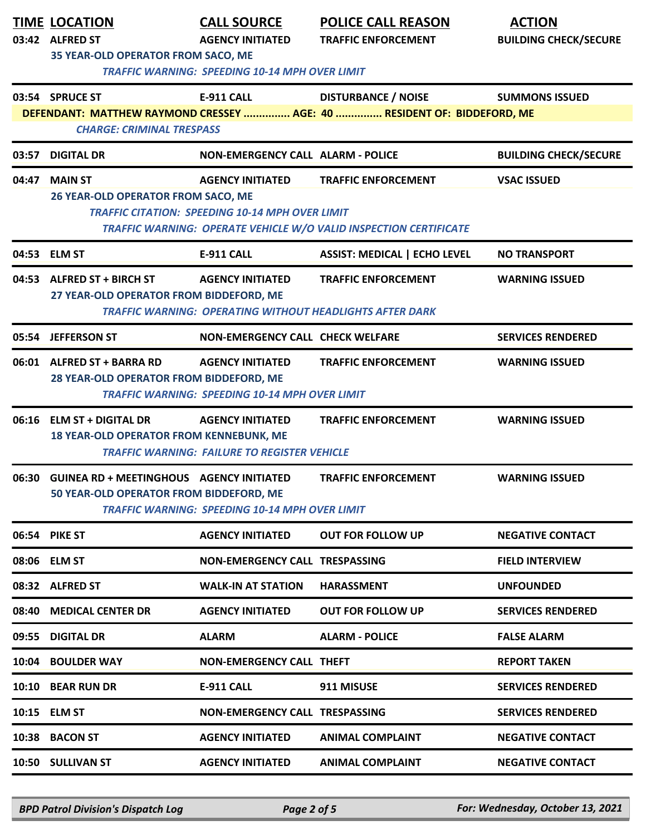|       | <b>TIME LOCATION</b><br>03:42 ALFRED ST<br>35 YEAR-OLD OPERATOR FROM SACO, ME             | <b>CALL SOURCE</b><br><b>AGENCY INITIATED</b><br><b>TRAFFIC WARNING: SPEEDING 10-14 MPH OVER LIMIT</b> | <b>POLICE CALL REASON</b><br><b>TRAFFIC ENFORCEMENT</b>                                               | <b>ACTION</b><br><b>BUILDING CHECK/SECURE</b> |
|-------|-------------------------------------------------------------------------------------------|--------------------------------------------------------------------------------------------------------|-------------------------------------------------------------------------------------------------------|-----------------------------------------------|
|       | 03:54 SPRUCE ST<br><b>CHARGE: CRIMINAL TRESPASS</b>                                       | <b>E-911 CALL</b>                                                                                      | <b>DISTURBANCE / NOISE</b><br>DEFENDANT: MATTHEW RAYMOND CRESSEY  AGE: 40  RESIDENT OF: BIDDEFORD, ME | <b>SUMMONS ISSUED</b>                         |
| 03:57 | <b>DIGITAL DR</b>                                                                         | <b>NON-EMERGENCY CALL ALARM - POLICE</b>                                                               |                                                                                                       | <b>BUILDING CHECK/SECURE</b>                  |
| 04:47 | <b>MAIN ST</b><br>26 YEAR-OLD OPERATOR FROM SACO, ME                                      | <b>AGENCY INITIATED</b><br><b>TRAFFIC CITATION: SPEEDING 10-14 MPH OVER LIMIT</b>                      | <b>TRAFFIC ENFORCEMENT</b><br>TRAFFIC WARNING: OPERATE VEHICLE W/O VALID INSPECTION CERTIFICATE       | <b>VSAC ISSUED</b>                            |
|       | 04:53 ELM ST                                                                              | E-911 CALL                                                                                             | <b>ASSIST: MEDICAL   ECHO LEVEL</b>                                                                   | <b>NO TRANSPORT</b>                           |
|       | 04:53 ALFRED ST + BIRCH ST<br>27 YEAR-OLD OPERATOR FROM BIDDEFORD, ME                     | <b>AGENCY INITIATED</b><br><b>TRAFFIC WARNING: OPERATING WITHOUT HEADLIGHTS AFTER DARK</b>             | <b>TRAFFIC ENFORCEMENT</b>                                                                            | <b>WARNING ISSUED</b>                         |
|       | 05:54 JEFFERSON ST                                                                        | <b>NON-EMERGENCY CALL CHECK WELFARE</b>                                                                |                                                                                                       | <b>SERVICES RENDERED</b>                      |
|       | 06:01 ALFRED ST + BARRA RD<br>28 YEAR-OLD OPERATOR FROM BIDDEFORD, ME                     | <b>AGENCY INITIATED</b><br><b>TRAFFIC WARNING: SPEEDING 10-14 MPH OVER LIMIT</b>                       | <b>TRAFFIC ENFORCEMENT</b>                                                                            | <b>WARNING ISSUED</b>                         |
|       | 06:16 ELM ST + DIGITAL DR<br><b>18 YEAR-OLD OPERATOR FROM KENNEBUNK, ME</b>               | <b>AGENCY INITIATED</b><br><b>TRAFFIC WARNING: FAILURE TO REGISTER VEHICLE</b>                         | <b>TRAFFIC ENFORCEMENT</b>                                                                            | <b>WARNING ISSUED</b>                         |
|       | 06:30 GUINEA RD + MEETINGHOUS AGENCY INITIATED<br>50 YEAR-OLD OPERATOR FROM BIDDEFORD, ME | <b>TRAFFIC WARNING: SPEEDING 10-14 MPH OVER LIMIT</b>                                                  | <b>TRAFFIC ENFORCEMENT</b>                                                                            | <b>WARNING ISSUED</b>                         |
|       | 06:54 PIKE ST                                                                             | <b>AGENCY INITIATED</b>                                                                                | <b>OUT FOR FOLLOW UP</b>                                                                              | <b>NEGATIVE CONTACT</b>                       |
|       | 08:06 ELM ST                                                                              | <b>NON-EMERGENCY CALL TRESPASSING</b>                                                                  |                                                                                                       | <b>FIELD INTERVIEW</b>                        |
|       | 08:32 ALFRED ST                                                                           | <b>WALK-IN AT STATION</b>                                                                              | <b>HARASSMENT</b>                                                                                     | <b>UNFOUNDED</b>                              |
| 08:40 | <b>MEDICAL CENTER DR</b>                                                                  | <b>AGENCY INITIATED</b>                                                                                | <b>OUT FOR FOLLOW UP</b>                                                                              | <b>SERVICES RENDERED</b>                      |
| 09:55 | <b>DIGITAL DR</b>                                                                         | <b>ALARM</b>                                                                                           | <b>ALARM - POLICE</b>                                                                                 | <b>FALSE ALARM</b>                            |
| 10:04 | <b>BOULDER WAY</b>                                                                        | <b>NON-EMERGENCY CALL THEFT</b>                                                                        |                                                                                                       | <b>REPORT TAKEN</b>                           |
|       | 10:10 BEAR RUN DR                                                                         | <b>E-911 CALL</b>                                                                                      | 911 MISUSE                                                                                            | <b>SERVICES RENDERED</b>                      |
|       | 10:15 ELM ST                                                                              | <b>NON-EMERGENCY CALL TRESPASSING</b>                                                                  |                                                                                                       | <b>SERVICES RENDERED</b>                      |
|       | 10:38 BACON ST                                                                            | <b>AGENCY INITIATED</b>                                                                                | <b>ANIMAL COMPLAINT</b>                                                                               | <b>NEGATIVE CONTACT</b>                       |
|       | 10:50 SULLIVAN ST                                                                         | <b>AGENCY INITIATED</b>                                                                                | <b>ANIMAL COMPLAINT</b>                                                                               | <b>NEGATIVE CONTACT</b>                       |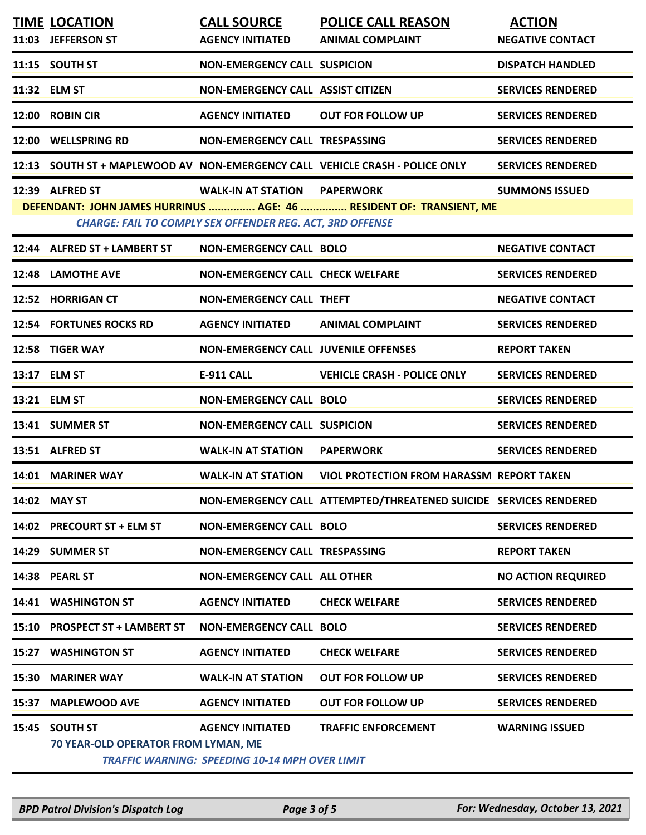|       | <b>TIME LOCATION</b><br>11:03 JEFFERSON ST            | <b>CALL SOURCE</b><br><b>AGENCY INITIATED</b>                                                           | <b>POLICE CALL REASON</b><br><b>ANIMAL COMPLAINT</b>                         | <b>ACTION</b><br><b>NEGATIVE CONTACT</b> |
|-------|-------------------------------------------------------|---------------------------------------------------------------------------------------------------------|------------------------------------------------------------------------------|------------------------------------------|
|       | 11:15 SOUTH ST                                        | <b>NON-EMERGENCY CALL SUSPICION</b>                                                                     |                                                                              | <b>DISPATCH HANDLED</b>                  |
|       | 11:32 ELM ST                                          | <b>NON-EMERGENCY CALL ASSIST CITIZEN</b>                                                                |                                                                              | <b>SERVICES RENDERED</b>                 |
|       | 12:00 ROBIN CIR                                       | <b>AGENCY INITIATED</b>                                                                                 | <b>OUT FOR FOLLOW UP</b>                                                     | <b>SERVICES RENDERED</b>                 |
|       | 12:00 WELLSPRING RD                                   | NON-EMERGENCY CALL TRESPASSING                                                                          |                                                                              | <b>SERVICES RENDERED</b>                 |
|       |                                                       |                                                                                                         | 12:13 SOUTH ST + MAPLEWOOD AV NON-EMERGENCY CALL VEHICLE CRASH - POLICE ONLY | <b>SERVICES RENDERED</b>                 |
|       | 12:39 ALFRED ST                                       | <b>WALK-IN AT STATION PAPERWORK</b><br><b>CHARGE: FAIL TO COMPLY SEX OFFENDER REG. ACT, 3RD OFFENSE</b> | DEFENDANT: JOHN JAMES HURRINUS  AGE: 46  RESIDENT OF: TRANSIENT, ME          | <b>SUMMONS ISSUED</b>                    |
|       | 12:44 ALFRED ST + LAMBERT ST                          | <b>NON-EMERGENCY CALL BOLO</b>                                                                          |                                                                              | <b>NEGATIVE CONTACT</b>                  |
|       | <b>12:48 LAMOTHE AVE</b>                              | <b>NON-EMERGENCY CALL CHECK WELFARE</b>                                                                 |                                                                              | <b>SERVICES RENDERED</b>                 |
|       | 12:52 HORRIGAN CT                                     | <b>NON-EMERGENCY CALL THEFT</b>                                                                         |                                                                              | <b>NEGATIVE CONTACT</b>                  |
|       | <b>12:54 FORTUNES ROCKS RD</b>                        | <b>AGENCY INITIATED</b>                                                                                 | <b>ANIMAL COMPLAINT</b>                                                      | <b>SERVICES RENDERED</b>                 |
|       | 12:58 TIGER WAY                                       | <b>NON-EMERGENCY CALL JUVENILE OFFENSES</b>                                                             |                                                                              | <b>REPORT TAKEN</b>                      |
|       | 13:17 ELM ST                                          | E-911 CALL                                                                                              | <b>VEHICLE CRASH - POLICE ONLY</b>                                           | <b>SERVICES RENDERED</b>                 |
|       | 13:21 ELM ST                                          | <b>NON-EMERGENCY CALL BOLO</b>                                                                          |                                                                              | <b>SERVICES RENDERED</b>                 |
|       | 13:41 SUMMER ST                                       | <b>NON-EMERGENCY CALL SUSPICION</b>                                                                     |                                                                              | <b>SERVICES RENDERED</b>                 |
|       | 13:51 ALFRED ST                                       | <b>WALK-IN AT STATION</b>                                                                               | <b>PAPERWORK</b>                                                             | <b>SERVICES RENDERED</b>                 |
|       | 14:01 MARINER WAY                                     | <b>WALK-IN AT STATION</b>                                                                               | <b>VIOL PROTECTION FROM HARASSM REPORT TAKEN</b>                             |                                          |
|       | 14:02 MAY ST                                          |                                                                                                         | NON-EMERGENCY CALL ATTEMPTED/THREATENED SUICIDE SERVICES RENDERED            |                                          |
|       | 14:02 PRECOURT ST + ELM ST                            | <b>NON-EMERGENCY CALL BOLO</b>                                                                          |                                                                              | <b>SERVICES RENDERED</b>                 |
|       | 14:29 SUMMER ST                                       | <b>NON-EMERGENCY CALL TRESPASSING</b>                                                                   |                                                                              | <b>REPORT TAKEN</b>                      |
|       | 14:38 PEARL ST                                        | <b>NON-EMERGENCY CALL ALL OTHER</b>                                                                     |                                                                              | <b>NO ACTION REQUIRED</b>                |
|       | 14:41 WASHINGTON ST                                   | <b>AGENCY INITIATED</b>                                                                                 | <b>CHECK WELFARE</b>                                                         | <b>SERVICES RENDERED</b>                 |
|       | 15:10 PROSPECT ST + LAMBERT ST                        | <b>NON-EMERGENCY CALL BOLO</b>                                                                          |                                                                              | <b>SERVICES RENDERED</b>                 |
| 15:27 | <b>WASHINGTON ST</b>                                  | <b>AGENCY INITIATED</b>                                                                                 | <b>CHECK WELFARE</b>                                                         | <b>SERVICES RENDERED</b>                 |
| 15:30 | <b>MARINER WAY</b>                                    | <b>WALK-IN AT STATION</b>                                                                               | <b>OUT FOR FOLLOW UP</b>                                                     | <b>SERVICES RENDERED</b>                 |
| 15:37 | <b>MAPLEWOOD AVE</b>                                  | <b>AGENCY INITIATED</b>                                                                                 | <b>OUT FOR FOLLOW UP</b>                                                     | <b>SERVICES RENDERED</b>                 |
|       | 15:45 SOUTH ST<br>70 YEAR-OLD OPERATOR FROM LYMAN, ME | <b>AGENCY INITIATED</b><br><b>TRAFFIC WARNING: SPEEDING 10-14 MPH OVER LIMIT</b>                        | <b>TRAFFIC ENFORCEMENT</b>                                                   | <b>WARNING ISSUED</b>                    |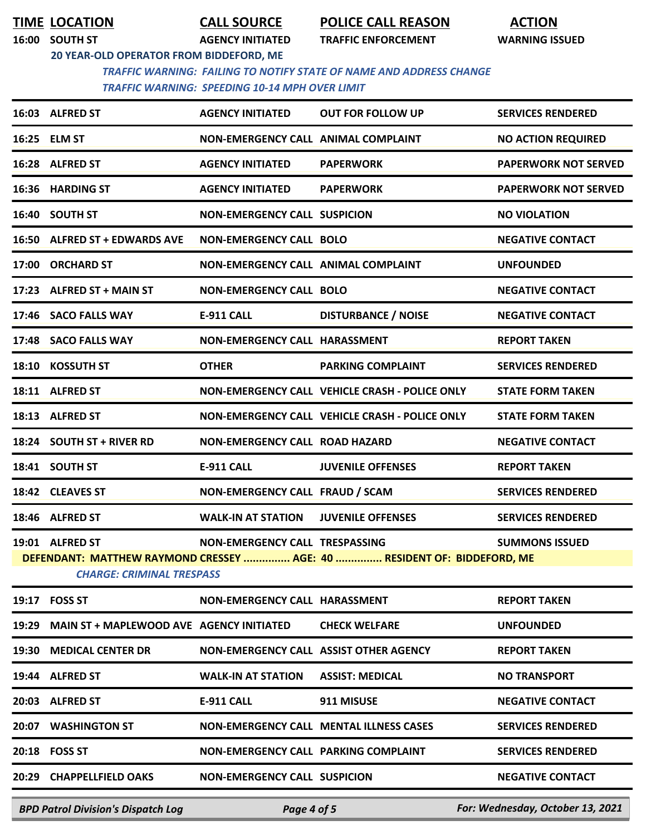**TIME LOCATION CALL SOURCE POLICE CALL REASON ACTION**

**16:00 SOUTH ST AGENCY INITIATED TRAFFIC ENFORCEMENT WARNING ISSUED**

**20 YEAR-OLD OPERATOR FROM BIDDEFORD, ME**

 *TRAFFIC WARNING: FAILING TO NOTIFY STATE OF NAME AND ADDRESS CHANGE TRAFFIC WARNING: SPEEDING 10-14 MPH OVER LIMIT* 

| 16:03 ALFRED ST                                     | <b>AGENCY INITIATED</b>                   | <b>OUT FOR FOLLOW UP</b>                                                | <b>SERVICES RENDERED</b>    |
|-----------------------------------------------------|-------------------------------------------|-------------------------------------------------------------------------|-----------------------------|
| 16:25 ELM ST                                        | NON-EMERGENCY CALL ANIMAL COMPLAINT       |                                                                         | <b>NO ACTION REQUIRED</b>   |
| 16:28 ALFRED ST                                     | <b>AGENCY INITIATED</b>                   | <b>PAPERWORK</b>                                                        | <b>PAPERWORK NOT SERVED</b> |
| 16:36 HARDING ST                                    | <b>AGENCY INITIATED</b>                   | <b>PAPERWORK</b>                                                        | <b>PAPERWORK NOT SERVED</b> |
| 16:40 SOUTH ST                                      | <b>NON-EMERGENCY CALL SUSPICION</b>       |                                                                         | <b>NO VIOLATION</b>         |
| 16:50 ALFRED ST + EDWARDS AVE                       | <b>NON-EMERGENCY CALL BOLO</b>            |                                                                         | <b>NEGATIVE CONTACT</b>     |
| 17:00 ORCHARD ST                                    | NON-EMERGENCY CALL ANIMAL COMPLAINT       |                                                                         | <b>UNFOUNDED</b>            |
| 17:23 ALFRED ST + MAIN ST                           | <b>NON-EMERGENCY CALL BOLO</b>            |                                                                         | <b>NEGATIVE CONTACT</b>     |
| 17:46 SACO FALLS WAY                                | E-911 CALL                                | <b>DISTURBANCE / NOISE</b>                                              | <b>NEGATIVE CONTACT</b>     |
| 17:48 SACO FALLS WAY                                | NON-EMERGENCY CALL HARASSMENT             |                                                                         | <b>REPORT TAKEN</b>         |
| 18:10 KOSSUTH ST                                    | <b>OTHER</b>                              | <b>PARKING COMPLAINT</b>                                                | <b>SERVICES RENDERED</b>    |
| 18:11 ALFRED ST                                     |                                           | NON-EMERGENCY CALL VEHICLE CRASH - POLICE ONLY                          | <b>STATE FORM TAKEN</b>     |
| 18:13 ALFRED ST                                     |                                           | NON-EMERGENCY CALL VEHICLE CRASH - POLICE ONLY                          | <b>STATE FORM TAKEN</b>     |
| 18:24 SOUTH ST + RIVER RD                           | <b>NON-EMERGENCY CALL ROAD HAZARD</b>     |                                                                         | <b>NEGATIVE CONTACT</b>     |
| 18:41 SOUTH ST                                      | E-911 CALL                                | <b>JUVENILE OFFENSES</b>                                                | <b>REPORT TAKEN</b>         |
| 18:42 CLEAVES ST                                    | NON-EMERGENCY CALL FRAUD / SCAM           |                                                                         | <b>SERVICES RENDERED</b>    |
| 18:46 ALFRED ST                                     | <b>WALK-IN AT STATION</b>                 | <b>JUVENILE OFFENSES</b>                                                | <b>SERVICES RENDERED</b>    |
| 19:01 ALFRED ST<br><b>CHARGE: CRIMINAL TRESPASS</b> | NON-EMERGENCY CALL TRESPASSING            | DEFENDANT: MATTHEW RAYMOND CRESSEY  AGE: 40  RESIDENT OF: BIDDEFORD, ME | <b>SUMMONS ISSUED</b>       |
| 19:17 FOSS ST                                       | NON-EMERGENCY CALL HARASSMENT             |                                                                         | <b>REPORT TAKEN</b>         |
| 19:29 MAIN ST + MAPLEWOOD AVE AGENCY INITIATED      |                                           | <b>CHECK WELFARE</b>                                                    | <b>UNFOUNDED</b>            |
| 19:30 MEDICAL CENTER DR                             | NON-EMERGENCY CALL ASSIST OTHER AGENCY    |                                                                         | <b>REPORT TAKEN</b>         |
| 19:44 ALFRED ST                                     | <b>WALK-IN AT STATION ASSIST: MEDICAL</b> |                                                                         | <b>NO TRANSPORT</b>         |
| 20:03 ALFRED ST                                     | <b>E-911 CALL</b>                         | 911 MISUSE                                                              | <b>NEGATIVE CONTACT</b>     |
| 20:07 WASHINGTON ST                                 |                                           | <b>NON-EMERGENCY CALL MENTAL ILLNESS CASES</b>                          | <b>SERVICES RENDERED</b>    |
| 20:18 FOSS ST                                       | NON-EMERGENCY CALL PARKING COMPLAINT      |                                                                         | <b>SERVICES RENDERED</b>    |
| 20:29 CHAPPELLFIELD OAKS                            | <b>NON-EMERGENCY CALL SUSPICION</b>       |                                                                         | <b>NEGATIVE CONTACT</b>     |
|                                                     |                                           |                                                                         |                             |

*BPD Patrol Division's Dispatch Log Page 4 of 5 For: Wednesday, October 13, 2021*